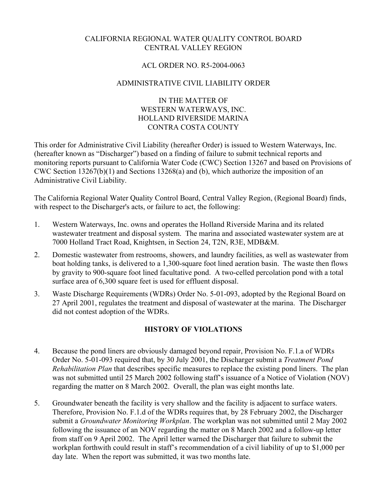# CALIFORNIA REGIONAL WATER QUALITY CONTROL BOARD CENTRAL VALLEY REGION

### ACL ORDER NO. R5-2004-0063

# ADMINISTRATIVE CIVIL LIABILITY ORDER

#### IN THE MATTER OF WESTERN WATERWAYS, INC. HOLLAND RIVERSIDE MARINA CONTRA COSTA COUNTY

This order for Administrative Civil Liability (hereafter Order) is issued to Western Waterways, Inc. (hereafter known as "Discharger") based on a finding of failure to submit technical reports and monitoring reports pursuant to California Water Code (CWC) Section 13267 and based on Provisions of CWC Section 13267(b)(1) and Sections 13268(a) and (b), which authorize the imposition of an Administrative Civil Liability.

The California Regional Water Quality Control Board, Central Valley Region, (Regional Board) finds, with respect to the Discharger's acts, or failure to act, the following:

- 1. Western Waterways, Inc. owns and operates the Holland Riverside Marina and its related wastewater treatment and disposal system. The marina and associated wastewater system are at 7000 Holland Tract Road, Knightsen, in Section 24, T2N, R3E, MDB&M.
- 2. Domestic wastewater from restrooms, showers, and laundry facilities, as well as wastewater from boat holding tanks, is delivered to a 1,300-square foot lined aeration basin. The waste then flows by gravity to 900-square foot lined facultative pond. A two-celled percolation pond with a total surface area of 6,300 square feet is used for effluent disposal.
- 3. Waste Discharge Requirements (WDRs) Order No. 5-01-093, adopted by the Regional Board on 27 April 2001, regulates the treatment and disposal of wastewater at the marina. The Discharger did not contest adoption of the WDRs.

# **HISTORY OF VIOLATIONS**

- 4. Because the pond liners are obviously damaged beyond repair, Provision No. F.1.a of WDRs Order No. 5-01-093 required that, by 30 July 2001, the Discharger submit a *Treatment Pond Rehabilitation Plan* that describes specific measures to replace the existing pond liners. The plan was not submitted until 25 March 2002 following staff's issuance of a Notice of Violation (NOV) regarding the matter on 8 March 2002. Overall, the plan was eight months late.
- 5. Groundwater beneath the facility is very shallow and the facility is adjacent to surface waters. Therefore, Provision No. F.1.d of the WDRs requires that, by 28 February 2002, the Discharger submit a *Groundwater Monitoring Workplan*. The workplan was not submitted until 2 May 2002 following the issuance of an NOV regarding the matter on 8 March 2002 and a follow-up letter from staff on 9 April 2002. The April letter warned the Discharger that failure to submit the workplan forthwith could result in staff's recommendation of a civil liability of up to \$1,000 per day late. When the report was submitted, it was two months late.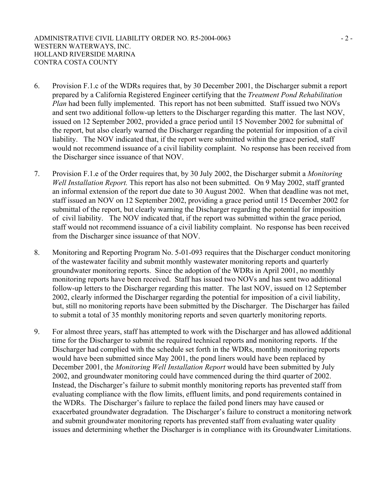- 6. Provision F.1.c of the WDRs requires that, by 30 December 2001, the Discharger submit a report prepared by a California Registered Engineer certifying that the *Treatment Pond Rehabilitation Plan* had been fully implemented. This report has not been submitted. Staff issued two NOVs and sent two additional follow-up letters to the Discharger regarding this matter. The last NOV, issued on 12 September 2002, provided a grace period until 15 November 2002 for submittal of the report, but also clearly warned the Discharger regarding the potential for imposition of a civil liability. The NOV indicated that, if the report were submitted within the grace period, staff would not recommend issuance of a civil liability complaint. No response has been received from the Discharger since issuance of that NOV.
- 7. Provision F.1.e of the Order requires that, by 30 July 2002, the Discharger submit a *Monitoring Well Installation Report.* This report has also not been submitted. On 9 May 2002, staff granted an informal extension of the report due date to 30 August 2002. When that deadline was not met, staff issued an NOV on 12 September 2002, providing a grace period until 15 December 2002 for submittal of the report, but clearly warning the Discharger regarding the potential for imposition of civil liability. The NOV indicated that, if the report was submitted within the grace period, staff would not recommend issuance of a civil liability complaint. No response has been received from the Discharger since issuance of that NOV.
- 8. Monitoring and Reporting Program No. 5-01-093 requires that the Discharger conduct monitoring of the wastewater facility and submit monthly wastewater monitoring reports and quarterly groundwater monitoring reports. Since the adoption of the WDRs in April 2001, no monthly monitoring reports have been received. Staff has issued two NOVs and has sent two additional follow-up letters to the Discharger regarding this matter. The last NOV, issued on 12 September 2002, clearly informed the Discharger regarding the potential for imposition of a civil liability, but, still no monitoring reports have been submitted by the Discharger. The Discharger has failed to submit a total of 35 monthly monitoring reports and seven quarterly monitoring reports.
- 9. For almost three years, staff has attempted to work with the Discharger and has allowed additional time for the Discharger to submit the required technical reports and monitoring reports. If the Discharger had complied with the schedule set forth in the WDRs, monthly monitoring reports would have been submitted since May 2001, the pond liners would have been replaced by December 2001, the *Monitoring Well Installation Report* would have been submitted by July 2002, and groundwater monitoring could have commenced during the third quarter of 2002. Instead, the Discharger's failure to submit monthly monitoring reports has prevented staff from evaluating compliance with the flow limits, effluent limits, and pond requirements contained in the WDRs. The Discharger's failure to replace the failed pond liners may have caused or exacerbated groundwater degradation. The Discharger's failure to construct a monitoring network and submit groundwater monitoring reports has prevented staff from evaluating water quality issues and determining whether the Discharger is in compliance with its Groundwater Limitations.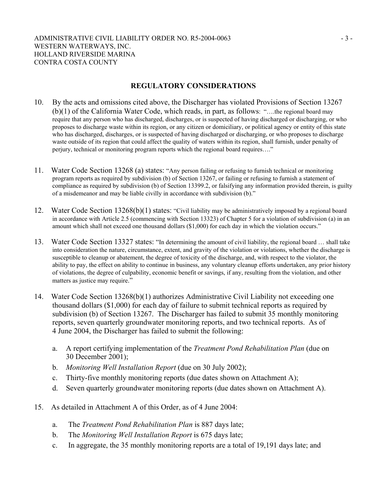### **REGULATORY CONSIDERATIONS**

- 10. By the acts and omissions cited above, the Discharger has violated Provisions of Section 13267 (b)(1) of the California Water Code, which reads, in part, as follows: "….the regional board may require that any person who has discharged, discharges, or is suspected of having discharged or discharging, or who proposes to discharge waste within its region, or any citizen or domiciliary, or political agency or entity of this state who has discharged, discharges, or is suspected of having discharged or discharging, or who proposes to discharge waste outside of its region that could affect the quality of waters within its region, shall furnish, under penalty of perjury, technical or monitoring program reports which the regional board requires…."
- 11. Water Code Section 13268 (a) states: "Any person failing or refusing to furnish technical or monitoring program reports as required by subdivision (b) of Section 13267, or failing or refusing to furnish a statement of compliance as required by subdivision (b) of Section 13399.2, or falsifying any information provided therein, is guilty of a misdemeanor and may be liable civilly in accordance with subdivision (b)."
- 12. Water Code Section 13268(b)(1) states: "Civil liability may be administratively imposed by a regional board in accordance with Article 2.5 (commencing with Section 13323) of Chapter 5 for a violation of subdivision (a) in an amount which shall not exceed one thousand dollars (\$1,000) for each day in which the violation occurs."
- 13. Water Code Section 13327 states: "In determining the amount of civil liability, the regional board … shall take into consideration the nature, circumstance, extent, and gravity of the violation or violations, whether the discharge is susceptible to cleanup or abatement, the degree of toxicity of the discharge, and, with respect to the violator, the ability to pay, the effect on ability to continue in business, any voluntary cleanup efforts undertaken, any prior history of violations, the degree of culpability, economic benefit or savings, if any, resulting from the violation, and other matters as justice may require."
- 14. Water Code Section 13268(b)(1) authorizes Administrative Civil Liability not exceeding one thousand dollars (\$1,000) for each day of failure to submit technical reports as required by subdivision (b) of Section 13267. The Discharger has failed to submit 35 monthly monitoring reports, seven quarterly groundwater monitoring reports, and two technical reports. As of 4 June 2004, the Discharger has failed to submit the following:
	- a. A report certifying implementation of the *Treatment Pond Rehabilitation Plan* (due on 30 December 2001);
	- b. *Monitoring Well Installation Report* (due on 30 July 2002);
	- c. Thirty-five monthly monitoring reports (due dates shown on Attachment A);
	- d. Seven quarterly groundwater monitoring reports (due dates shown on Attachment A).
- 15. As detailed in Attachment A of this Order, as of 4 June 2004:
	- a. The *Treatment Pond Rehabilitation Plan* is 887 days late;
	- b. The *Monitoring Well Installation Report* is 675 days late;
	- c. In aggregate, the 35 monthly monitoring reports are a total of 19,191 days late; and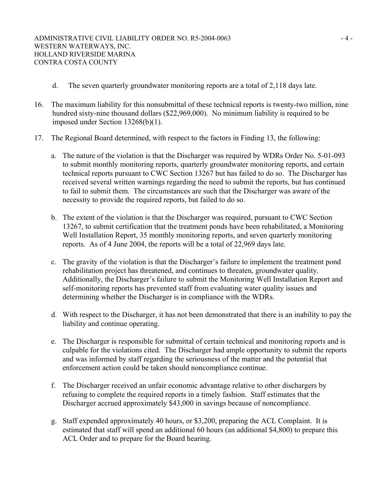- d. The seven quarterly groundwater monitoring reports are a total of 2,118 days late.
- 16. The maximum liability for this nonsubmittal of these technical reports is twenty-two million, nine hundred sixty-nine thousand dollars (\$22,969,000). No minimum liability is required to be imposed under Section 13268(b)(1).
- 17. The Regional Board determined, with respect to the factors in Finding 13, the following:
	- a. The nature of the violation is that the Discharger was required by WDRs Order No. 5-01-093 to submit monthly monitoring reports, quarterly groundwater monitoring reports, and certain technical reports pursuant to CWC Section 13267 but has failed to do so. The Discharger has received several written warnings regarding the need to submit the reports, but has continued to fail to submit them. The circumstances are such that the Discharger was aware of the necessity to provide the required reports, but failed to do so.
	- b. The extent of the violation is that the Discharger was required, pursuant to CWC Section 13267, to submit certification that the treatment ponds have been rehabilitated, a Monitoring Well Installation Report, 35 monthly monitoring reports, and seven quarterly monitoring reports. As of 4 June 2004, the reports will be a total of 22,969 days late.
	- c. The gravity of the violation is that the Discharger's failure to implement the treatment pond rehabilitation project has threatened, and continues to threaten, groundwater quality. Additionally, the Discharger's failure to submit the Monitoring Well Installation Report and self-monitoring reports has prevented staff from evaluating water quality issues and determining whether the Discharger is in compliance with the WDRs.
	- d. With respect to the Discharger, it has not been demonstrated that there is an inability to pay the liability and continue operating.
	- e. The Discharger is responsible for submittal of certain technical and monitoring reports and is culpable for the violations cited. The Discharger had ample opportunity to submit the reports and was informed by staff regarding the seriousness of the matter and the potential that enforcement action could be taken should noncompliance continue.
	- f. The Discharger received an unfair economic advantage relative to other dischargers by refusing to complete the required reports in a timely fashion. Staff estimates that the Discharger accrued approximately \$43,000 in savings because of noncompliance.
	- g. Staff expended approximately 40 hours, or \$3,200, preparing the ACL Complaint. It is estimated that staff will spend an additional 60 hours (an additional \$4,800) to prepare this ACL Order and to prepare for the Board hearing.